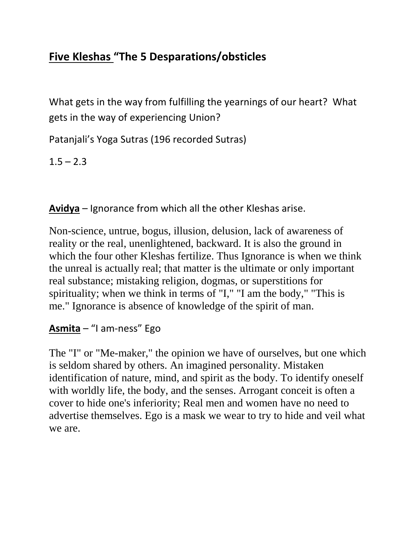# **Five Kleshas "The 5 Desparations/obsticles**

What gets in the way from fulfilling the yearnings of our heart? What gets in the way of experiencing Union?

Patanjali's Yoga Sutras (196 recorded Sutras)

 $1.5 - 2.3$ 

**Avidya** – Ignorance from which all the other Kleshas arise.

Non-science, untrue, bogus, illusion, delusion, lack of awareness of reality or the real, unenlightened, backward. It is also the ground in which the four other Kleshas fertilize. Thus Ignorance is when we think the unreal is actually real; that matter is the ultimate or only important real substance; mistaking religion, dogmas, or superstitions for spirituality; when we think in terms of "I," "I am the body," "This is me." Ignorance is absence of knowledge of the spirit of man.

## **Asmita** – "I am-ness" Ego

The "I" or "Me-maker," the opinion we have of ourselves, but one which is seldom shared by others. An imagined personality. Mistaken identification of nature, mind, and spirit as the body. To identify oneself with worldly life, the body, and the senses. Arrogant conceit is often a cover to hide one's inferiority; Real men and women have no need to advertise themselves. Ego is a mask we wear to try to hide and veil what we are.